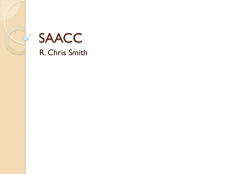

#### **SAACC**

R. Chris Smith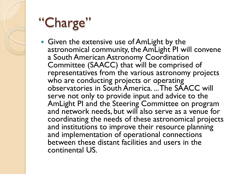# "Charge"

• Given the extensive use of AmLight by the astronomical community, the AmLight PI will convene a South American Astronomy Coordination Committee (SAACC) that will be comprised of representatives from the various astronomy projects who are conducting projects or operating observatories in South America. ... The SAACC will serve not only to provide input and advice to the AmLight PI and the Steering Committee on program and network needs, but will also serve as a venue for coordinating the needs of these astronomical projects and institutions to improve their resource planning and implementation of operational connections between these distant facilities and users in the continental US.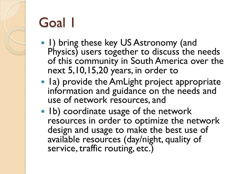## Goal 1

- 1) bring these key US Astronomy (and Physics) users together to discuss the needs of this community in South America over the next 5,10,15,20 years, in order to
- Ia) provide the AmLight project appropriate information and guidance on the needs and use of network resources, and
- Ib) coordinate usage of the network resources in order to optimize the network design and usage to make the best use of available resources (day/night, quality of service, traffic routing, etc.)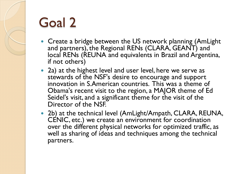### Goal 2

- Create a bridge between the US network planning (AmLight and partners), the Regional RENs (CLARA, GEANT) and local RENs (REUNA and equivalents in Brazil and Argentina, if not others)
- 2a) at the highest level and user level, here we serve as stewards of the NSF's desire to encourage and support innovation in S.American countries. This was a theme of Obama's recent visit to the region, a MAJOR theme of Ed Seidel's visit, and a significant theme for the visit of the Director of the NSF.
- 2b) at the technical level (AmLight/Ampath, CLARA, REUNA, CENIC, etc.) we create an environment for coordination over the different physical networks for optimized traffic, as well as sharing of ideas and techniques among the technical partners.